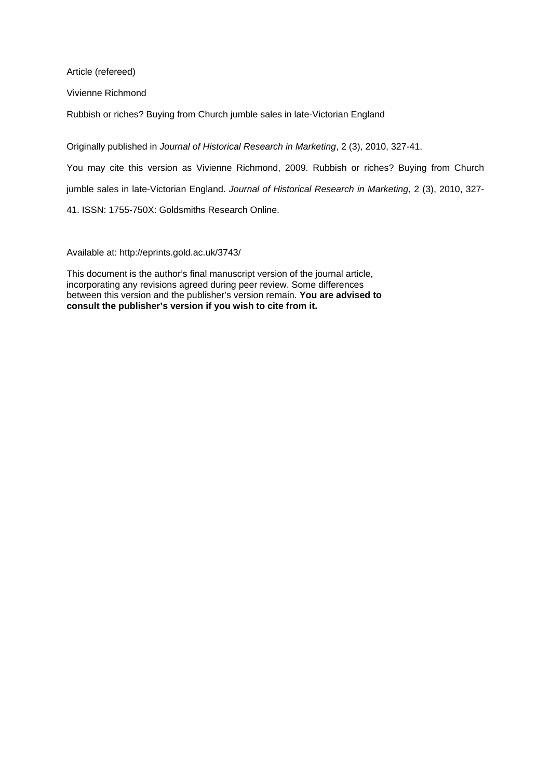Article (refereed)

Vivienne Richmond

Rubbish or riches? Buying from Church jumble sales in late-Victorian England

Originally published in *Journal of Historical Research in Marketing*, 2 (3), 2010, 327-41.

You may cite this version as Vivienne Richmond, 2009. Rubbish or riches? Buying from Church jumble sales in late-Victorian England. *Journal of Historical Research in Marketing*, 2 (3), 2010, 327-

41. ISSN: 1755-750X: Goldsmiths Research Online.

Available at: http://eprints.gold.ac.uk/3743/

This document is the author's final manuscript version of the journal article, incorporating any revisions agreed during peer review. Some differences between this version and the publisher's version remain. **You are advised to consult the publisher's version if you wish to cite from it.**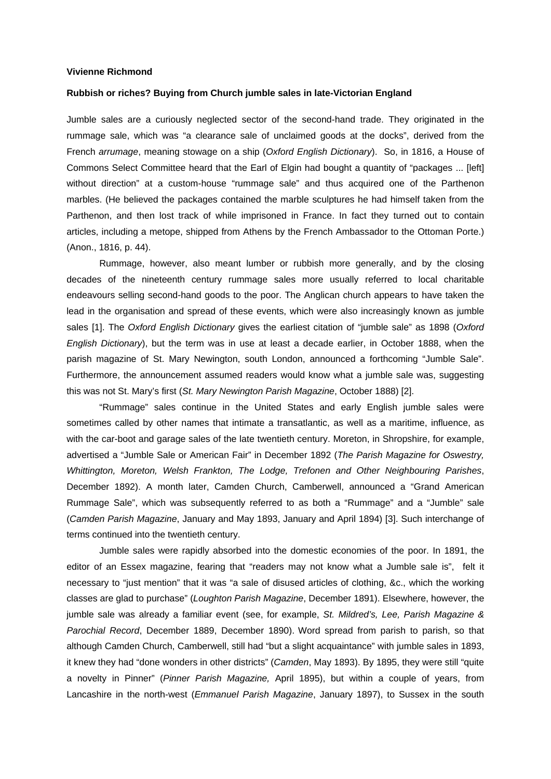#### **Vivienne Richmond**

### **Rubbish or riches? Buying from Church jumble sales in late-Victorian England**

Jumble sales are a curiously neglected sector of the second-hand trade. They originated in the rummage sale, which was "a clearance sale of unclaimed goods at the docks", derived from the French *arrumage*, meaning stowage on a ship (*Oxford English Dictionary*). So, in 1816, a House of Commons Select Committee heard that the Earl of Elgin had bought a quantity of "packages ... [left] without direction" at a custom-house "rummage sale" and thus acquired one of the Parthenon marbles. (He believed the packages contained the marble sculptures he had himself taken from the Parthenon, and then lost track of while imprisoned in France. In fact they turned out to contain articles, including a metope, shipped from Athens by the French Ambassador to the Ottoman Porte.) (Anon., 1816, p. 44).

Rummage, however, also meant lumber or rubbish more generally, and by the closing decades of the nineteenth century rummage sales more usually referred to local charitable endeavours selling second-hand goods to the poor. The Anglican church appears to have taken the lead in the organisation and spread of these events, which were also increasingly known as jumble sales [1]. The *Oxford English Dictionary* gives the earliest citation of "jumble sale" as 1898 (*Oxford English Dictionary*), but the term was in use at least a decade earlier, in October 1888, when the parish magazine of St. Mary Newington, south London, announced a forthcoming "Jumble Sale". Furthermore, the announcement assumed readers would know what a jumble sale was, suggesting this was not St. Mary's first (*St. Mary Newington Parish Magazine*, October 1888) [2].

"Rummage" sales continue in the United States and early English jumble sales were sometimes called by other names that intimate a transatlantic, as well as a maritime, influence, as with the car-boot and garage sales of the late twentieth century. Moreton, in Shropshire, for example, advertised a "Jumble Sale or American Fair" in December 1892 (*The Parish Magazine for Oswestry, Whittington, Moreton, Welsh Frankton, The Lodge, Trefonen and Other Neighbouring Parishes*, December 1892). A month later, Camden Church, Camberwell, announced a "Grand American Rummage Sale", which was subsequently referred to as both a "Rummage" and a "Jumble" sale (*Camden Parish Magazine*, January and May 1893, January and April 1894) [3]. Such interchange of terms continued into the twentieth century.

Jumble sales were rapidly absorbed into the domestic economies of the poor. In 1891, the editor of an Essex magazine, fearing that "readers may not know what a Jumble sale is", felt it necessary to "just mention" that it was "a sale of disused articles of clothing, &c., which the working classes are glad to purchase" (*Loughton Parish Magazine*, December 1891). Elsewhere, however, the jumble sale was already a familiar event (see, for example, *St. Mildred's, Lee, Parish Magazine & Parochial Record*, December 1889, December 1890). Word spread from parish to parish, so that although Camden Church, Camberwell, still had "but a slight acquaintance" with jumble sales in 1893, it knew they had "done wonders in other districts" (*Camden*, May 1893). By 1895, they were still "quite a novelty in Pinner" (*Pinner Parish Magazine,* April 1895), but within a couple of years, from Lancashire in the north-west (*Emmanuel Parish Magazine*, January 1897), to Sussex in the south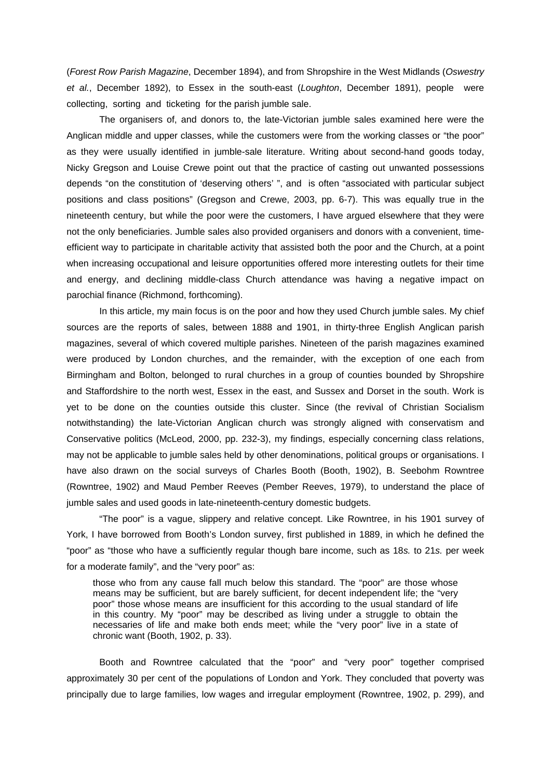(*Forest Row Parish Magazine*, December 1894), and from Shropshire in the West Midlands (*Oswestry et al.*, December 1892), to Essex in the south-east (*Loughton*, December 1891), people were collecting, sorting and ticketing for the parish jumble sale.

The organisers of, and donors to, the late-Victorian jumble sales examined here were the Anglican middle and upper classes, while the customers were from the working classes or "the poor" as they were usually identified in jumble-sale literature. Writing about second-hand goods today, Nicky Gregson and Louise Crewe point out that the practice of casting out unwanted possessions depends "on the constitution of 'deserving others' ", and is often "associated with particular subject positions and class positions" (Gregson and Crewe, 2003, pp. 6-7). This was equally true in the nineteenth century, but while the poor were the customers, I have argued elsewhere that they were not the only beneficiaries. Jumble sales also provided organisers and donors with a convenient, timeefficient way to participate in charitable activity that assisted both the poor and the Church, at a point when increasing occupational and leisure opportunities offered more interesting outlets for their time and energy, and declining middle-class Church attendance was having a negative impact on parochial finance (Richmond, forthcoming).

In this article, my main focus is on the poor and how they used Church jumble sales. My chief sources are the reports of sales, between 1888 and 1901, in thirty-three English Anglican parish magazines, several of which covered multiple parishes. Nineteen of the parish magazines examined were produced by London churches, and the remainder, with the exception of one each from Birmingham and Bolton, belonged to rural churches in a group of counties bounded by Shropshire and Staffordshire to the north west, Essex in the east, and Sussex and Dorset in the south. Work is yet to be done on the counties outside this cluster. Since (the revival of Christian Socialism notwithstanding) the late-Victorian Anglican church was strongly aligned with conservatism and Conservative politics (McLeod, 2000, pp. 232-3), my findings, especially concerning class relations, may not be applicable to jumble sales held by other denominations, political groups or organisations. I have also drawn on the social surveys of Charles Booth (Booth, 1902), B. Seebohm Rowntree (Rowntree, 1902) and Maud Pember Reeves (Pember Reeves, 1979), to understand the place of jumble sales and used goods in late-nineteenth-century domestic budgets.

"The poor" is a vague, slippery and relative concept. Like Rowntree, in his 1901 survey of York, I have borrowed from Booth's London survey, first published in 1889, in which he defined the "poor" as "those who have a sufficiently regular though bare income, such as 18*s.* to 21*s.* per week for a moderate family", and the "very poor" as:

those who from any cause fall much below this standard. The "poor" are those whose means may be sufficient, but are barely sufficient, for decent independent life; the "very poor" those whose means are insufficient for this according to the usual standard of life in this country. My "poor" may be described as living under a struggle to obtain the necessaries of life and make both ends meet; while the "very poor" live in a state of chronic want (Booth, 1902, p. 33).

Booth and Rowntree calculated that the "poor" and "very poor" together comprised approximately 30 per cent of the populations of London and York. They concluded that poverty was principally due to large families, low wages and irregular employment (Rowntree, 1902, p. 299), and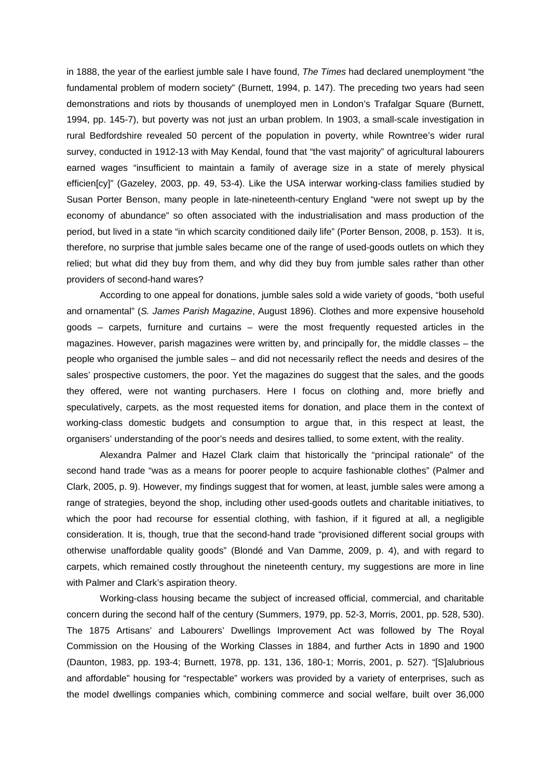in 1888, the year of the earliest jumble sale I have found, *The Times* had declared unemployment "the fundamental problem of modern society" (Burnett, 1994, p. 147). The preceding two years had seen demonstrations and riots by thousands of unemployed men in London's Trafalgar Square (Burnett, 1994, pp. 145-7), but poverty was not just an urban problem. In 1903, a small-scale investigation in rural Bedfordshire revealed 50 percent of the population in poverty, while Rowntree's wider rural survey, conducted in 1912-13 with May Kendal, found that "the vast majority" of agricultural labourers earned wages "insufficient to maintain a family of average size in a state of merely physical efficien[cy]" (Gazeley, 2003, pp. 49, 53-4). Like the USA interwar working-class families studied by Susan Porter Benson, many people in late-nineteenth-century England "were not swept up by the economy of abundance" so often associated with the industrialisation and mass production of the period, but lived in a state "in which scarcity conditioned daily life" (Porter Benson, 2008, p. 153). It is, therefore, no surprise that jumble sales became one of the range of used-goods outlets on which they relied; but what did they buy from them, and why did they buy from jumble sales rather than other providers of second-hand wares?

According to one appeal for donations, jumble sales sold a wide variety of goods, "both useful and ornamental" (*S. James Parish Magazine*, August 1896). Clothes and more expensive household goods – carpets, furniture and curtains – were the most frequently requested articles in the magazines. However, parish magazines were written by, and principally for, the middle classes – the people who organised the jumble sales – and did not necessarily reflect the needs and desires of the sales' prospective customers, the poor. Yet the magazines do suggest that the sales, and the goods they offered, were not wanting purchasers. Here I focus on clothing and, more briefly and speculatively, carpets, as the most requested items for donation, and place them in the context of working-class domestic budgets and consumption to argue that, in this respect at least, the organisers' understanding of the poor's needs and desires tallied, to some extent, with the reality.

Alexandra Palmer and Hazel Clark claim that historically the "principal rationale" of the second hand trade "was as a means for poorer people to acquire fashionable clothes" (Palmer and Clark, 2005, p. 9). However, my findings suggest that for women, at least, jumble sales were among a range of strategies, beyond the shop, including other used-goods outlets and charitable initiatives, to which the poor had recourse for essential clothing, with fashion, if it figured at all, a negligible consideration. It is, though, true that the second-hand trade "provisioned different social groups with otherwise unaffordable quality goods" (Blondé and Van Damme, 2009, p. 4), and with regard to carpets, which remained costly throughout the nineteenth century, my suggestions are more in line with Palmer and Clark's aspiration theory.

Working-class housing became the subject of increased official, commercial, and charitable concern during the second half of the century (Summers, 1979, pp. 52-3, Morris, 2001, pp. 528, 530). The 1875 Artisans' and Labourers' Dwellings Improvement Act was followed by The Royal Commission on the Housing of the Working Classes in 1884, and further Acts in 1890 and 1900 (Daunton, 1983, pp. 193-4; Burnett, 1978, pp. 131, 136, 180-1; Morris, 2001, p. 527). "[S]alubrious and affordable" housing for "respectable" workers was provided by a variety of enterprises, such as the model dwellings companies which, combining commerce and social welfare, built over 36,000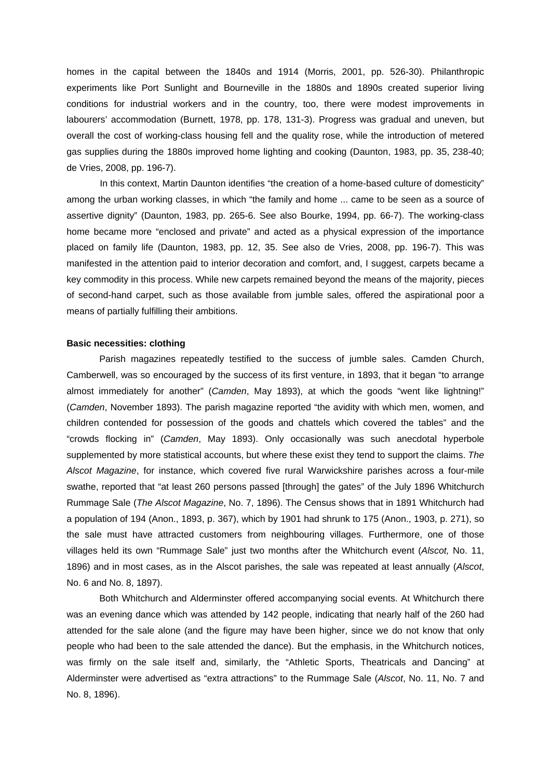homes in the capital between the 1840s and 1914 (Morris, 2001, pp. 526-30). Philanthropic experiments like Port Sunlight and Bourneville in the 1880s and 1890s created superior living conditions for industrial workers and in the country, too, there were modest improvements in labourers' accommodation (Burnett, 1978, pp. 178, 131-3). Progress was gradual and uneven, but overall the cost of working-class housing fell and the quality rose, while the introduction of metered gas supplies during the 1880s improved home lighting and cooking (Daunton, 1983, pp. 35, 238-40; de Vries, 2008, pp. 196-7).

In this context, Martin Daunton identifies "the creation of a home-based culture of domesticity" among the urban working classes, in which "the family and home ... came to be seen as a source of assertive dignity" (Daunton, 1983, pp. 265-6. See also Bourke, 1994, pp. 66-7). The working-class home became more "enclosed and private" and acted as a physical expression of the importance placed on family life (Daunton, 1983, pp. 12, 35. See also de Vries, 2008, pp. 196-7). This was manifested in the attention paid to interior decoration and comfort, and, I suggest, carpets became a key commodity in this process. While new carpets remained beyond the means of the majority, pieces of second-hand carpet, such as those available from jumble sales, offered the aspirational poor a means of partially fulfilling their ambitions.

### **Basic necessities: clothing**

Parish magazines repeatedly testified to the success of jumble sales. Camden Church, Camberwell, was so encouraged by the success of its first venture, in 1893, that it began "to arrange almost immediately for another" (*Camden*, May 1893), at which the goods "went like lightning!" (*Camden*, November 1893). The parish magazine reported "the avidity with which men, women, and children contended for possession of the goods and chattels which covered the tables" and the "crowds flocking in" (*Camden*, May 1893). Only occasionally was such anecdotal hyperbole supplemented by more statistical accounts, but where these exist they tend to support the claims. *The Alscot Magazine*, for instance, which covered five rural Warwickshire parishes across a four-mile swathe, reported that "at least 260 persons passed [through] the gates" of the July 1896 Whitchurch Rummage Sale (*The Alscot Magazine*, No. 7, 1896). The Census shows that in 1891 Whitchurch had a population of 194 (Anon., 1893, p. 367), which by 1901 had shrunk to 175 (Anon., 1903, p. 271), so the sale must have attracted customers from neighbouring villages. Furthermore, one of those villages held its own "Rummage Sale" just two months after the Whitchurch event (*Alscot,* No. 11, 1896) and in most cases, as in the Alscot parishes, the sale was repeated at least annually (*Alscot*, No. 6 and No. 8, 1897).

Both Whitchurch and Alderminster offered accompanying social events. At Whitchurch there was an evening dance which was attended by 142 people, indicating that nearly half of the 260 had attended for the sale alone (and the figure may have been higher, since we do not know that only people who had been to the sale attended the dance). But the emphasis, in the Whitchurch notices, was firmly on the sale itself and, similarly, the "Athletic Sports, Theatricals and Dancing" at Alderminster were advertised as "extra attractions" to the Rummage Sale (*Alscot*, No. 11, No. 7 and No. 8, 1896).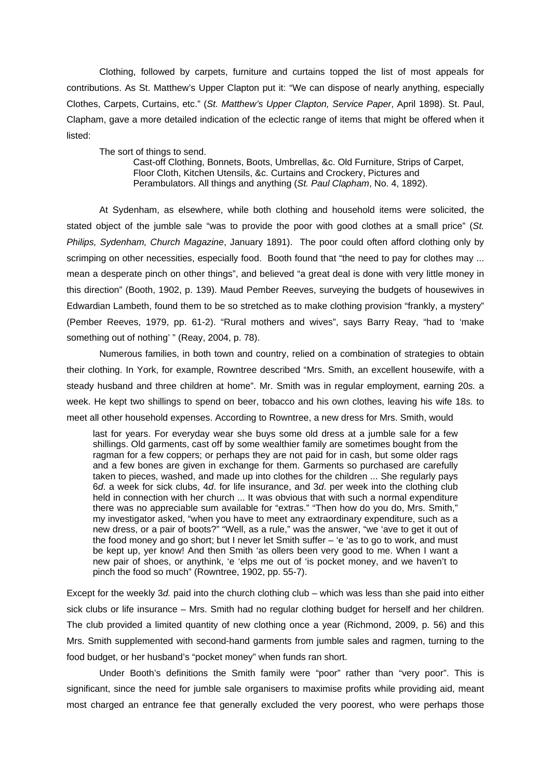Clothing, followed by carpets, furniture and curtains topped the list of most appeals for contributions. As St. Matthew's Upper Clapton put it: "We can dispose of nearly anything, especially Clothes, Carpets, Curtains, etc." (*St. Matthew's Upper Clapton, Service Paper*, April 1898). St. Paul, Clapham, gave a more detailed indication of the eclectic range of items that might be offered when it listed:

The sort of things to send.

Cast-off Clothing, Bonnets, Boots, Umbrellas, &c. Old Furniture, Strips of Carpet, Floor Cloth, Kitchen Utensils, &c. Curtains and Crockery, Pictures and Perambulators. All things and anything (*St. Paul Clapham*, No. 4, 1892).

At Sydenham, as elsewhere, while both clothing and household items were solicited, the stated object of the jumble sale "was to provide the poor with good clothes at a small price" (*St. Philips, Sydenham, Church Magazine*, January 1891). The poor could often afford clothing only by scrimping on other necessities, especially food. Booth found that "the need to pay for clothes may ... mean a desperate pinch on other things", and believed "a great deal is done with very little money in this direction" (Booth, 1902, p. 139). Maud Pember Reeves, surveying the budgets of housewives in Edwardian Lambeth, found them to be so stretched as to make clothing provision "frankly, a mystery" (Pember Reeves, 1979, pp. 61-2). "Rural mothers and wives", says Barry Reay, "had to 'make something out of nothing' " (Reay, 2004, p. 78).

Numerous families, in both town and country, relied on a combination of strategies to obtain their clothing. In York, for example, Rowntree described "Mrs. Smith, an excellent housewife, with a steady husband and three children at home". Mr. Smith was in regular employment, earning 20*s.* a week. He kept two shillings to spend on beer, tobacco and his own clothes, leaving his wife 18*s.* to meet all other household expenses. According to Rowntree, a new dress for Mrs. Smith, would

last for years. For everyday wear she buys some old dress at a jumble sale for a few shillings. Old garments, cast off by some wealthier family are sometimes bought from the ragman for a few coppers; or perhaps they are not paid for in cash, but some older rags and a few bones are given in exchange for them. Garments so purchased are carefully taken to pieces, washed, and made up into clothes for the children ... She regularly pays 6*d*. a week for sick clubs, 4*d*. for life insurance, and 3*d*. per week into the clothing club held in connection with her church ... It was obvious that with such a normal expenditure there was no appreciable sum available for "extras." "Then how do you do, Mrs. Smith," my investigator asked, "when you have to meet any extraordinary expenditure, such as a new dress, or a pair of boots?" "Well, as a rule," was the answer, "we 'ave to get it out of the food money and go short; but I never let Smith suffer – 'e 'as to go to work, and must be kept up, yer know! And then Smith 'as ollers been very good to me. When I want a new pair of shoes, or anythink, 'e 'elps me out of 'is pocket money, and we haven't to pinch the food so much" (Rowntree, 1902, pp. 55-7).

Except for the weekly 3*d.* paid into the church clothing club – which was less than she paid into either sick clubs or life insurance – Mrs. Smith had no regular clothing budget for herself and her children. The club provided a limited quantity of new clothing once a year (Richmond, 2009, p. 56) and this Mrs. Smith supplemented with second-hand garments from jumble sales and ragmen, turning to the food budget, or her husband's "pocket money" when funds ran short.

Under Booth's definitions the Smith family were "poor" rather than "very poor". This is significant, since the need for jumble sale organisers to maximise profits while providing aid, meant most charged an entrance fee that generally excluded the very poorest, who were perhaps those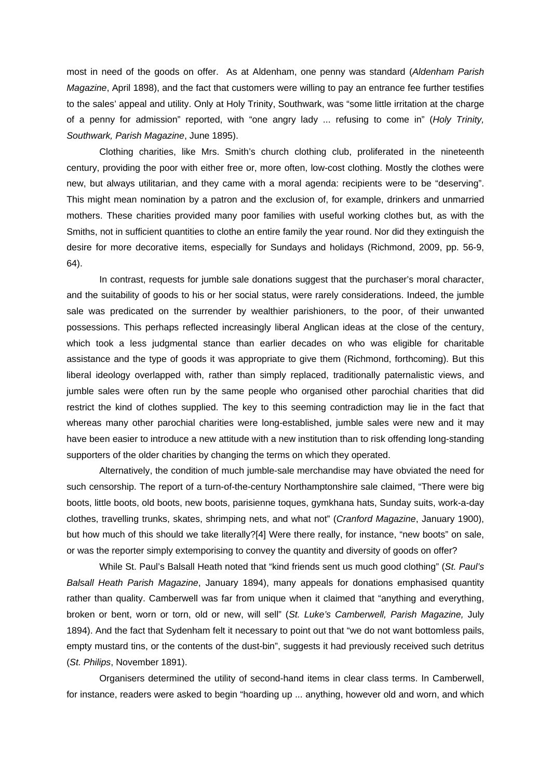most in need of the goods on offer. As at Aldenham, one penny was standard (*Aldenham Parish Magazine*, April 1898), and the fact that customers were willing to pay an entrance fee further testifies to the sales' appeal and utility. Only at Holy Trinity, Southwark, was "some little irritation at the charge of a penny for admission" reported, with "one angry lady ... refusing to come in" (*Holy Trinity, Southwark, Parish Magazine*, June 1895).

Clothing charities, like Mrs. Smith's church clothing club, proliferated in the nineteenth century, providing the poor with either free or, more often, low-cost clothing. Mostly the clothes were new, but always utilitarian, and they came with a moral agenda: recipients were to be "deserving". This might mean nomination by a patron and the exclusion of, for example, drinkers and unmarried mothers. These charities provided many poor families with useful working clothes but, as with the Smiths, not in sufficient quantities to clothe an entire family the year round. Nor did they extinguish the desire for more decorative items, especially for Sundays and holidays (Richmond, 2009, pp. 56-9, 64).

In contrast, requests for jumble sale donations suggest that the purchaser's moral character, and the suitability of goods to his or her social status, were rarely considerations. Indeed, the jumble sale was predicated on the surrender by wealthier parishioners, to the poor, of their unwanted possessions. This perhaps reflected increasingly liberal Anglican ideas at the close of the century, which took a less judgmental stance than earlier decades on who was eligible for charitable assistance and the type of goods it was appropriate to give them (Richmond, forthcoming). But this liberal ideology overlapped with, rather than simply replaced, traditionally paternalistic views, and jumble sales were often run by the same people who organised other parochial charities that did restrict the kind of clothes supplied. The key to this seeming contradiction may lie in the fact that whereas many other parochial charities were long-established, jumble sales were new and it may have been easier to introduce a new attitude with a new institution than to risk offending long-standing supporters of the older charities by changing the terms on which they operated.

Alternatively, the condition of much jumble-sale merchandise may have obviated the need for such censorship. The report of a turn-of-the-century Northamptonshire sale claimed, "There were big boots, little boots, old boots, new boots, parisienne toques, gymkhana hats, Sunday suits, work-a-day clothes, travelling trunks, skates, shrimping nets, and what not" (*Cranford Magazine*, January 1900), but how much of this should we take literally?[4] Were there really, for instance, "new boots" on sale, or was the reporter simply extemporising to convey the quantity and diversity of goods on offer?

While St. Paul's Balsall Heath noted that "kind friends sent us much good clothing" (*St. Paul's Balsall Heath Parish Magazine*, January 1894), many appeals for donations emphasised quantity rather than quality. Camberwell was far from unique when it claimed that "anything and everything, broken or bent, worn or torn, old or new, will sell" (*St. Luke's Camberwell, Parish Magazine,* July 1894). And the fact that Sydenham felt it necessary to point out that "we do not want bottomless pails, empty mustard tins, or the contents of the dust-bin", suggests it had previously received such detritus (*St. Philips*, November 1891).

Organisers determined the utility of second-hand items in clear class terms. In Camberwell, for instance, readers were asked to begin "hoarding up ... anything, however old and worn, and which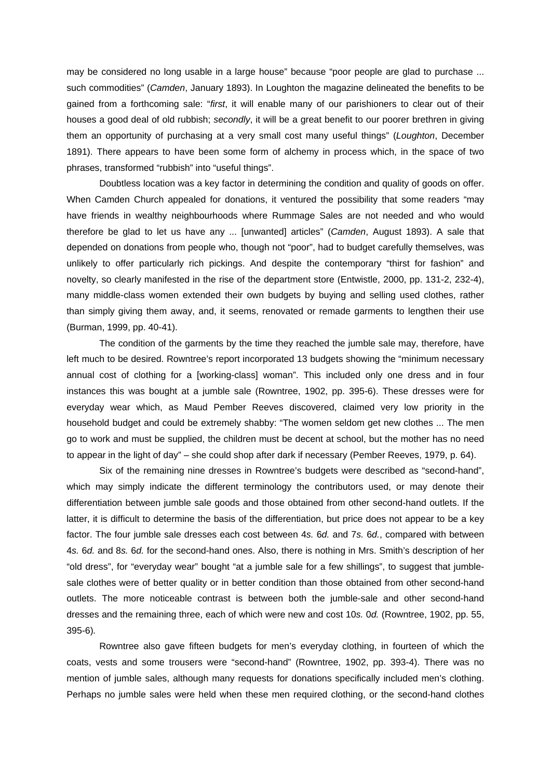may be considered no long usable in a large house" because "poor people are glad to purchase ... such commodities" (*Camden*, January 1893). In Loughton the magazine delineated the benefits to be gained from a forthcoming sale: "*first*, it will enable many of our parishioners to clear out of their houses a good deal of old rubbish; *secondly*, it will be a great benefit to our poorer brethren in giving them an opportunity of purchasing at a very small cost many useful things" (*Loughton*, December 1891). There appears to have been some form of alchemy in process which, in the space of two phrases, transformed "rubbish" into "useful things".

Doubtless location was a key factor in determining the condition and quality of goods on offer. When Camden Church appealed for donations, it ventured the possibility that some readers "may have friends in wealthy neighbourhoods where Rummage Sales are not needed and who would therefore be glad to let us have any ... [unwanted] articles" (*Camden*, August 1893). A sale that depended on donations from people who, though not "poor", had to budget carefully themselves, was unlikely to offer particularly rich pickings. And despite the contemporary "thirst for fashion" and novelty, so clearly manifested in the rise of the department store (Entwistle, 2000, pp. 131-2, 232-4), many middle-class women extended their own budgets by buying and selling used clothes, rather than simply giving them away, and, it seems, renovated or remade garments to lengthen their use (Burman, 1999, pp. 40-41).

The condition of the garments by the time they reached the jumble sale may, therefore, have left much to be desired. Rowntree's report incorporated 13 budgets showing the "minimum necessary annual cost of clothing for a [working-class] woman". This included only one dress and in four instances this was bought at a jumble sale (Rowntree, 1902, pp. 395-6). These dresses were for everyday wear which, as Maud Pember Reeves discovered, claimed very low priority in the household budget and could be extremely shabby: "The women seldom get new clothes ... The men go to work and must be supplied, the children must be decent at school, but the mother has no need to appear in the light of day" – she could shop after dark if necessary (Pember Reeves, 1979, p. 64).

Six of the remaining nine dresses in Rowntree's budgets were described as "second-hand", which may simply indicate the different terminology the contributors used, or may denote their differentiation between jumble sale goods and those obtained from other second-hand outlets. If the latter, it is difficult to determine the basis of the differentiation, but price does not appear to be a key factor. The four jumble sale dresses each cost between 4*s.* 6*d.* and 7*s.* 6*d.*, compared with between 4*s.* 6*d.* and 8*s.* 6*d.* for the second-hand ones. Also, there is nothing in Mrs. Smith's description of her "old dress", for "everyday wear" bought "at a jumble sale for a few shillings", to suggest that jumblesale clothes were of better quality or in better condition than those obtained from other second-hand outlets. The more noticeable contrast is between both the jumble-sale and other second-hand dresses and the remaining three, each of which were new and cost 10*s.* 0*d.* (Rowntree, 1902, pp. 55, 395-6)*.* 

Rowntree also gave fifteen budgets for men's everyday clothing, in fourteen of which the coats, vests and some trousers were "second-hand" (Rowntree, 1902, pp. 393-4). There was no mention of jumble sales, although many requests for donations specifically included men's clothing. Perhaps no jumble sales were held when these men required clothing, or the second-hand clothes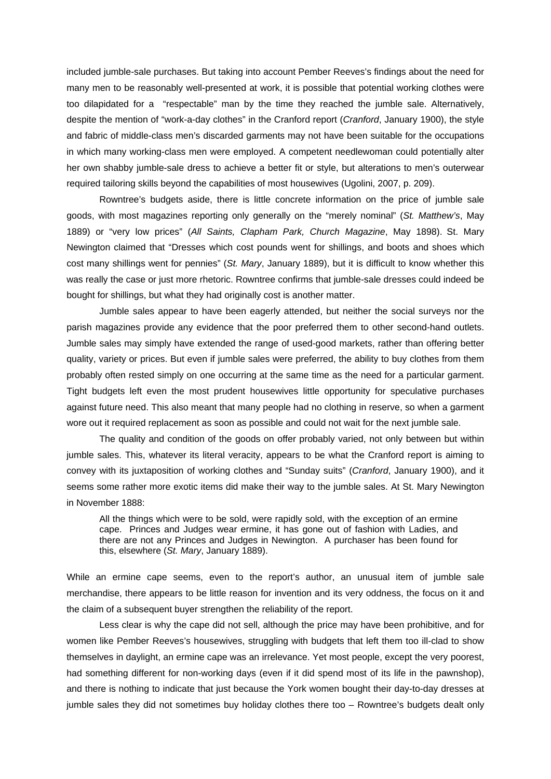included jumble-sale purchases. But taking into account Pember Reeves's findings about the need for many men to be reasonably well-presented at work, it is possible that potential working clothes were too dilapidated for a "respectable" man by the time they reached the jumble sale. Alternatively, despite the mention of "work-a-day clothes" in the Cranford report (*Cranford*, January 1900), the style and fabric of middle-class men's discarded garments may not have been suitable for the occupations in which many working-class men were employed. A competent needlewoman could potentially alter her own shabby jumble-sale dress to achieve a better fit or style, but alterations to men's outerwear required tailoring skills beyond the capabilities of most housewives (Ugolini, 2007, p. 209).

Rowntree's budgets aside, there is little concrete information on the price of jumble sale goods, with most magazines reporting only generally on the "merely nominal" (*St. Matthew's*, May 1889) or "very low prices" (*All Saints, Clapham Park, Church Magazine*, May 1898). St. Mary Newington claimed that "Dresses which cost pounds went for shillings, and boots and shoes which cost many shillings went for pennies" (*St. Mary*, January 1889), but it is difficult to know whether this was really the case or just more rhetoric. Rowntree confirms that jumble-sale dresses could indeed be bought for shillings, but what they had originally cost is another matter.

Jumble sales appear to have been eagerly attended, but neither the social surveys nor the parish magazines provide any evidence that the poor preferred them to other second-hand outlets. Jumble sales may simply have extended the range of used-good markets, rather than offering better quality, variety or prices. But even if jumble sales were preferred, the ability to buy clothes from them probably often rested simply on one occurring at the same time as the need for a particular garment. Tight budgets left even the most prudent housewives little opportunity for speculative purchases against future need. This also meant that many people had no clothing in reserve, so when a garment wore out it required replacement as soon as possible and could not wait for the next jumble sale.

The quality and condition of the goods on offer probably varied, not only between but within jumble sales. This, whatever its literal veracity, appears to be what the Cranford report is aiming to convey with its juxtaposition of working clothes and "Sunday suits" (*Cranford*, January 1900), and it seems some rather more exotic items did make their way to the jumble sales. At St. Mary Newington in November 1888:

All the things which were to be sold, were rapidly sold, with the exception of an ermine cape. Princes and Judges wear ermine, it has gone out of fashion with Ladies, and there are not any Princes and Judges in Newington. A purchaser has been found for this, elsewhere (*St. Mary*, January 1889).

While an ermine cape seems, even to the report's author, an unusual item of jumble sale merchandise, there appears to be little reason for invention and its very oddness, the focus on it and the claim of a subsequent buyer strengthen the reliability of the report.

Less clear is why the cape did not sell, although the price may have been prohibitive, and for women like Pember Reeves's housewives, struggling with budgets that left them too ill-clad to show themselves in daylight, an ermine cape was an irrelevance. Yet most people, except the very poorest, had something different for non-working days (even if it did spend most of its life in the pawnshop), and there is nothing to indicate that just because the York women bought their day-to-day dresses at jumble sales they did not sometimes buy holiday clothes there too – Rowntree's budgets dealt only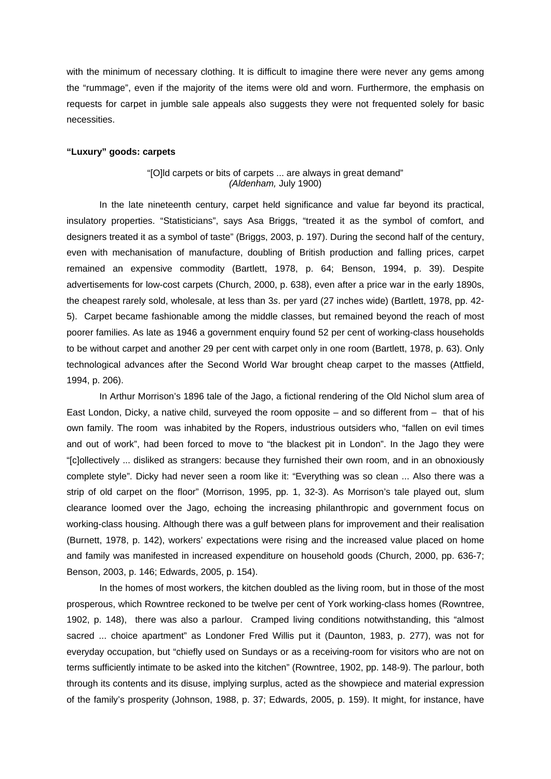with the minimum of necessary clothing. It is difficult to imagine there were never any gems among the "rummage", even if the majority of the items were old and worn. Furthermore, the emphasis on requests for carpet in jumble sale appeals also suggests they were not frequented solely for basic necessities.

# **"Luxury" goods: carpets**

## "[O]ld carpets or bits of carpets ... are always in great demand" *(Aldenham,* July 1900)

In the late nineteenth century, carpet held significance and value far beyond its practical, insulatory properties. "Statisticians", says Asa Briggs, "treated it as the symbol of comfort, and designers treated it as a symbol of taste" (Briggs, 2003, p. 197). During the second half of the century, even with mechanisation of manufacture, doubling of British production and falling prices, carpet remained an expensive commodity (Bartlett, 1978, p. 64; Benson, 1994, p. 39). Despite advertisements for low-cost carpets (Church, 2000, p. 638), even after a price war in the early 1890s, the cheapest rarely sold, wholesale, at less than 3*s*. per yard (27 inches wide) (Bartlett, 1978, pp. 42- 5). Carpet became fashionable among the middle classes, but remained beyond the reach of most poorer families. As late as 1946 a government enquiry found 52 per cent of working-class households to be without carpet and another 29 per cent with carpet only in one room (Bartlett, 1978, p. 63). Only technological advances after the Second World War brought cheap carpet to the masses (Attfield, 1994, p. 206).

In Arthur Morrison's 1896 tale of the Jago, a fictional rendering of the Old Nichol slum area of East London, Dicky, a native child, surveyed the room opposite – and so different from – that of his own family. The room was inhabited by the Ropers, industrious outsiders who, "fallen on evil times and out of work", had been forced to move to "the blackest pit in London". In the Jago they were "[c]ollectively ... disliked as strangers: because they furnished their own room, and in an obnoxiously complete style". Dicky had never seen a room like it: "Everything was so clean ... Also there was a strip of old carpet on the floor" (Morrison, 1995, pp. 1, 32-3). As Morrison's tale played out, slum clearance loomed over the Jago, echoing the increasing philanthropic and government focus on working-class housing. Although there was a gulf between plans for improvement and their realisation (Burnett, 1978, p. 142), workers' expectations were rising and the increased value placed on home and family was manifested in increased expenditure on household goods (Church, 2000, pp. 636-7; Benson, 2003, p. 146; Edwards, 2005, p. 154).

In the homes of most workers, the kitchen doubled as the living room, but in those of the most prosperous, which Rowntree reckoned to be twelve per cent of York working-class homes (Rowntree, 1902, p. 148), there was also a parlour. Cramped living conditions notwithstanding, this "almost sacred ... choice apartment" as Londoner Fred Willis put it (Daunton, 1983, p. 277), was not for everyday occupation, but "chiefly used on Sundays or as a receiving-room for visitors who are not on terms sufficiently intimate to be asked into the kitchen" (Rowntree, 1902, pp. 148-9). The parlour, both through its contents and its disuse, implying surplus, acted as the showpiece and material expression of the family's prosperity (Johnson, 1988, p. 37; Edwards, 2005, p. 159). It might, for instance, have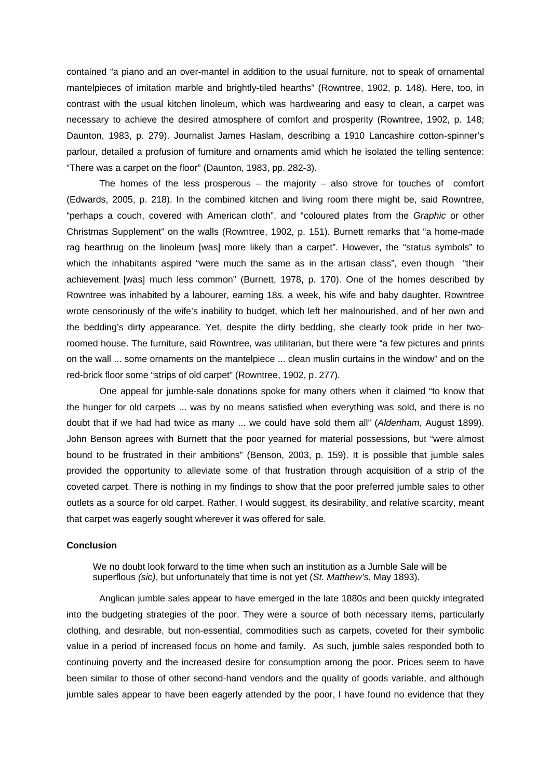contained "a piano and an over-mantel in addition to the usual furniture, not to speak of ornamental mantelpieces of imitation marble and brightly-tiled hearths" (Rowntree, 1902, p. 148). Here, too, in contrast with the usual kitchen linoleum, which was hardwearing and easy to clean, a carpet was necessary to achieve the desired atmosphere of comfort and prosperity (Rowntree, 1902, p. 148; Daunton, 1983, p. 279). Journalist James Haslam, describing a 1910 Lancashire cotton-spinner's parlour, detailed a profusion of furniture and ornaments amid which he isolated the telling sentence: "There was a carpet on the floor" (Daunton, 1983, pp. 282-3).

The homes of the less prosperous  $-$  the majority  $-$  also strove for touches of comfort (Edwards, 2005, p. 218). In the combined kitchen and living room there might be, said Rowntree, "perhaps a couch, covered with American cloth", and "coloured plates from the *Graphic* or other Christmas Supplement" on the walls (Rowntree, 1902, p. 151). Burnett remarks that "a home-made rag hearthrug on the linoleum [was] more likely than a carpet". However, the "status symbols" to which the inhabitants aspired "were much the same as in the artisan class", even though "their achievement [was] much less common" (Burnett, 1978, p. 170). One of the homes described by Rowntree was inhabited by a labourer, earning 18*s.* a week, his wife and baby daughter. Rowntree wrote censoriously of the wife's inability to budget, which left her malnourished, and of her own and the bedding's dirty appearance. Yet, despite the dirty bedding, she clearly took pride in her tworoomed house. The furniture, said Rowntree, was utilitarian, but there were "a few pictures and prints on the wall ... some ornaments on the mantelpiece ... clean muslin curtains in the window" and on the red-brick floor some "strips of old carpet" (Rowntree, 1902, p. 277).

One appeal for jumble-sale donations spoke for many others when it claimed "to know that the hunger for old carpets ... was by no means satisfied when everything was sold, and there is no doubt that if we had had twice as many ... we could have sold them all" (*Aldenham*, August 1899). John Benson agrees with Burnett that the poor yearned for material possessions, but "were almost bound to be frustrated in their ambitions" (Benson, 2003, p. 159). It is possible that jumble sales provided the opportunity to alleviate some of that frustration through acquisition of a strip of the coveted carpet. There is nothing in my findings to show that the poor preferred jumble sales to other outlets as a source for old carpet. Rather, I would suggest, its desirability, and relative scarcity, meant that carpet was eagerly sought wherever it was offered for sale.

### **Conclusion**

We no doubt look forward to the time when such an institution as a Jumble Sale will be superflous *(sic)*, but unfortunately that time is not yet (*St. Matthew's*, May 1893).

Anglican jumble sales appear to have emerged in the late 1880s and been quickly integrated into the budgeting strategies of the poor. They were a source of both necessary items, particularly clothing, and desirable, but non-essential, commodities such as carpets, coveted for their symbolic value in a period of increased focus on home and family. As such, jumble sales responded both to continuing poverty and the increased desire for consumption among the poor. Prices seem to have been similar to those of other second-hand vendors and the quality of goods variable, and although jumble sales appear to have been eagerly attended by the poor, I have found no evidence that they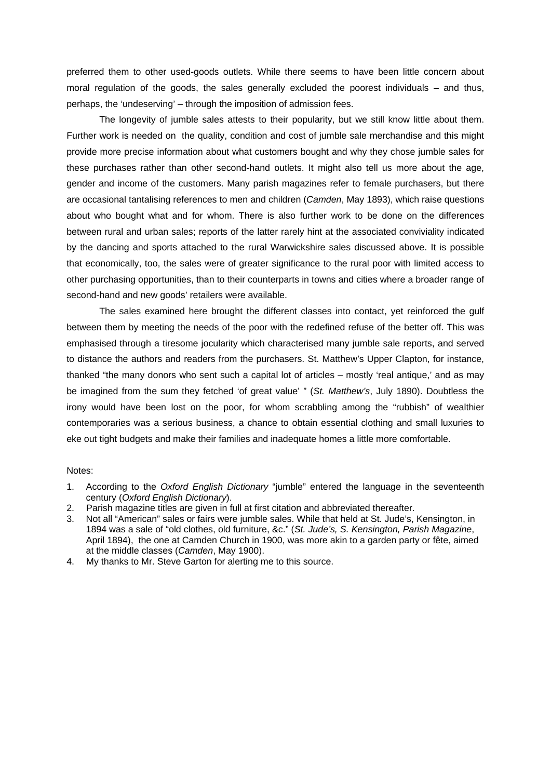preferred them to other used-goods outlets. While there seems to have been little concern about moral regulation of the goods, the sales generally excluded the poorest individuals – and thus, perhaps, the 'undeserving' – through the imposition of admission fees.

The longevity of jumble sales attests to their popularity, but we still know little about them. Further work is needed on the quality, condition and cost of jumble sale merchandise and this might provide more precise information about what customers bought and why they chose jumble sales for these purchases rather than other second-hand outlets. It might also tell us more about the age, gender and income of the customers. Many parish magazines refer to female purchasers, but there are occasional tantalising references to men and children (*Camden*, May 1893), which raise questions about who bought what and for whom. There is also further work to be done on the differences between rural and urban sales; reports of the latter rarely hint at the associated conviviality indicated by the dancing and sports attached to the rural Warwickshire sales discussed above. It is possible that economically, too, the sales were of greater significance to the rural poor with limited access to other purchasing opportunities, than to their counterparts in towns and cities where a broader range of second-hand and new goods' retailers were available.

The sales examined here brought the different classes into contact, yet reinforced the gulf between them by meeting the needs of the poor with the redefined refuse of the better off. This was emphasised through a tiresome jocularity which characterised many jumble sale reports, and served to distance the authors and readers from the purchasers. St. Matthew's Upper Clapton, for instance, thanked "the many donors who sent such a capital lot of articles – mostly 'real antique,' and as may be imagined from the sum they fetched 'of great value' " (*St. Matthew's*, July 1890). Doubtless the irony would have been lost on the poor, for whom scrabbling among the "rubbish" of wealthier contemporaries was a serious business, a chance to obtain essential clothing and small luxuries to eke out tight budgets and make their families and inadequate homes a little more comfortable.

#### Notes:

- 1. According to the *Oxford English Dictionary* "jumble" entered the language in the seventeenth century (*Oxford English Dictionary*).
- 2. Parish magazine titles are given in full at first citation and abbreviated thereafter.
- 3. Not all "American" sales or fairs were jumble sales. While that held at St. Jude's, Kensington, in 1894 was a sale of "old clothes, old furniture, &c." (*St. Jude's, S. Kensington, Parish Magazine*, April 1894), the one at Camden Church in 1900, was more akin to a garden party or fête, aimed at the middle classes (*Camden*, May 1900).
- 4. My thanks to Mr. Steve Garton for alerting me to this source.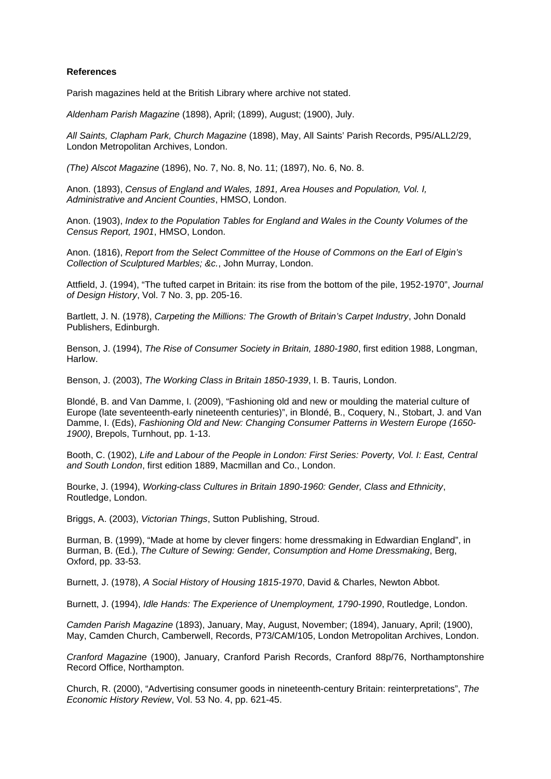## **References**

Parish magazines held at the British Library where archive not stated.

*Aldenham Parish Magazine* (1898), April; (1899), August; (1900), July.

*All Saints, Clapham Park, Church Magazine* (1898), May, All Saints' Parish Records, P95/ALL2/29, London Metropolitan Archives, London.

*(The) Alscot Magazine* (1896), No. 7, No. 8, No. 11; (1897), No. 6, No. 8.

Anon. (1893), *Census of England and Wales, 1891, Area Houses and Population, Vol. I, Administrative and Ancient Counties*, HMSO, London.

Anon. (1903), *Index to the Population Tables for England and Wales in the County Volumes of the Census Report, 1901*, HMSO, London.

Anon. (1816), *Report from the Select Committee of the House of Commons on the Earl of Elgin's Collection of Sculptured Marbles; &c.*, John Murray, London.

Attfield, J. (1994), "The tufted carpet in Britain: its rise from the bottom of the pile, 1952-1970", *Journal of Design History*, Vol. 7 No. 3, pp. 205-16.

Bartlett, J. N. (1978), *Carpeting the Millions: The Growth of Britain's Carpet Industry*, John Donald Publishers, Edinburgh.

Benson, J. (1994), *The Rise of Consumer Society in Britain, 1880-1980*, first edition 1988, Longman, Harlow.

Benson, J. (2003), *The Working Class in Britain 1850-1939*, I. B. Tauris, London.

Blondé, B. and Van Damme, I. (2009), "Fashioning old and new or moulding the material culture of Europe (late seventeenth-early nineteenth centuries)", in Blondé, B., Coquery, N., Stobart, J. and Van Damme, I. (Eds), *Fashioning Old and New: Changing Consumer Patterns in Western Europe (1650- 1900)*, Brepols, Turnhout, pp. 1-13.

Booth, C. (1902), *Life and Labour of the People in London: First Series: Poverty, Vol. I: East, Central and South London*, first edition 1889, Macmillan and Co., London.

Bourke, J. (1994), *Working-class Cultures in Britain 1890-1960: Gender, Class and Ethnicity*, Routledge, London.

Briggs, A. (2003), *Victorian Things*, Sutton Publishing, Stroud.

Burman, B. (1999), "Made at home by clever fingers: home dressmaking in Edwardian England", in Burman, B. (Ed.), *The Culture of Sewing: Gender, Consumption and Home Dressmaking*, Berg, Oxford, pp. 33-53.

Burnett, J. (1978), *A Social History of Housing 1815-1970*, David & Charles, Newton Abbot.

Burnett, J. (1994), *Idle Hands: The Experience of Unemployment, 1790-1990*, Routledge, London.

*Camden Parish Magazine* (1893), January, May, August, November; (1894), January, April; (1900), May, Camden Church, Camberwell, Records, P73/CAM/105, London Metropolitan Archives, London.

*Cranford Magazine* (1900), January, Cranford Parish Records, Cranford 88p/76, Northamptonshire Record Office, Northampton.

Church, R. (2000), "Advertising consumer goods in nineteenth-century Britain: reinterpretations", *The Economic History Review*, Vol. 53 No. 4, pp. 621-45.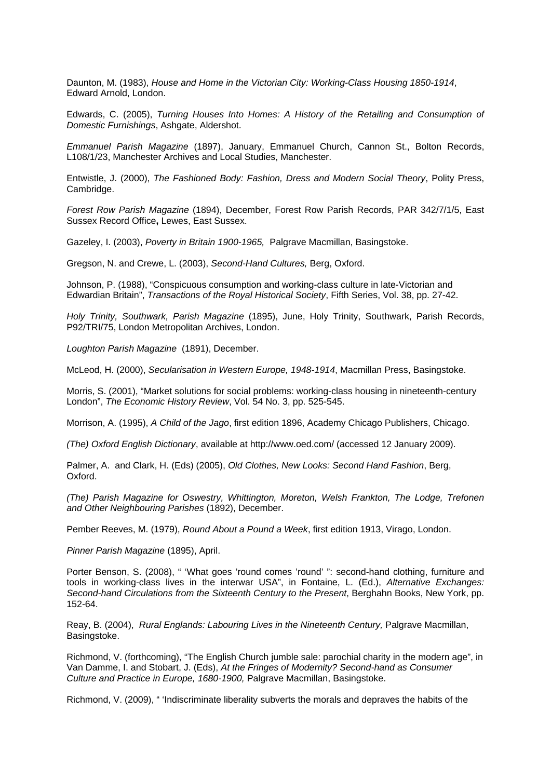Daunton, M. (1983), *House and Home in the Victorian City: Working-Class Housing 1850-1914*, Edward Arnold, London.

Edwards, C. (2005), *Turning Houses Into Homes: A History of the Retailing and Consumption of Domestic Furnishings*, Ashgate, Aldershot.

*Emmanuel Parish Magazine* (1897), January, Emmanuel Church, Cannon St., Bolton Records, L108/1/23, Manchester Archives and Local Studies, Manchester.

Entwistle, J. (2000), *The Fashioned Body: Fashion, Dress and Modern Social Theory*, Polity Press, Cambridge.

*Forest Row Parish Magazine* (1894), December, Forest Row Parish Records, PAR 342/7/1/5, East Sussex Record Office**,** Lewes, East Sussex.

Gazeley, I. (2003), *Poverty in Britain 1900-1965,* Palgrave Macmillan, Basingstoke.

Gregson, N. and Crewe, L. (2003), *Second-Hand Cultures,* Berg, Oxford.

Johnson, P. (1988), "Conspicuous consumption and working-class culture in late-Victorian and Edwardian Britain", *Transactions of the Royal Historical Society*, Fifth Series, Vol. 38, pp. 27-42.

*Holy Trinity, Southwark, Parish Magazine* (1895), June, Holy Trinity, Southwark, Parish Records, P92/TRI/75, London Metropolitan Archives, London.

*Loughton Parish Magazine* (1891), December.

McLeod, H. (2000), *Secularisation in Western Europe, 1948-1914*, Macmillan Press, Basingstoke.

Morris, S. (2001), "Market solutions for social problems: working-class housing in nineteenth-century London", *The Economic History Review*, Vol. 54 No. 3, pp. 525-545.

Morrison, A. (1995), *A Child of the Jago*, first edition 1896, Academy Chicago Publishers, Chicago.

*(The) Oxford English Dictionary*, available at http://www.oed.com/ (accessed 12 January 2009).

Palmer, A. and Clark, H. (Eds) (2005), *Old Clothes, New Looks: Second Hand Fashion*, Berg, Oxford.

*(The) Parish Magazine for Oswestry, Whittington, Moreton, Welsh Frankton, The Lodge, Trefonen and Other Neighbouring Parishes* (1892), December.

Pember Reeves, M. (1979), *Round About a Pound a Week*, first edition 1913, Virago, London.

*Pinner Parish Magazine* (1895), April.

Porter Benson, S. (2008), " 'What goes 'round comes 'round' ": second-hand clothing, furniture and tools in working-class lives in the interwar USA", in Fontaine, L. (Ed.), *Alternative Exchanges: Second-hand Circulations from the Sixteenth Century to the Present*, Berghahn Books, New York, pp. 152-64.

Reay, B. (2004), *Rural Englands: Labouring Lives in the Nineteenth Century,* Palgrave Macmillan, Basingstoke.

Richmond, V. (forthcoming), "The English Church jumble sale: parochial charity in the modern age", in Van Damme, I. and Stobart, J. (Eds), *At the Fringes of Modernity? Second-hand as Consumer Culture and Practice in Europe, 1680-1900,* Palgrave Macmillan, Basingstoke.

Richmond, V. (2009), " 'Indiscriminate liberality subverts the morals and depraves the habits of the